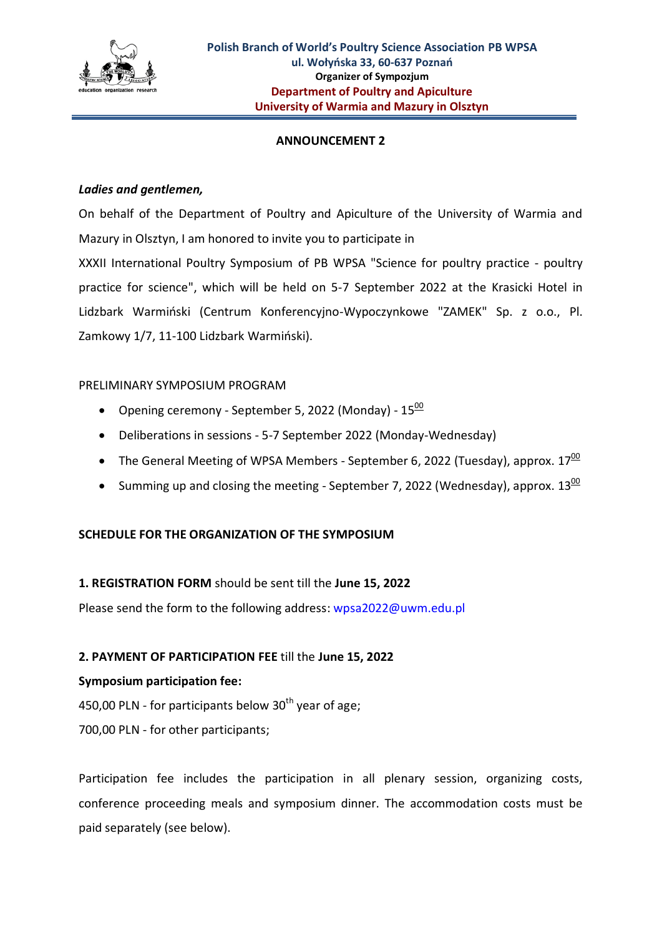

### **ANNOUNCEMENT 2**

### *Ladies and gentlemen,*

On behalf of the Department of Poultry and Apiculture of the University of Warmia and Mazury in Olsztyn, I am honored to invite you to participate in XXXII International Poultry Symposium of PB WPSA "Science for poultry practice - poultry practice for science", which will be held on 5-7 September 2022 at the Krasicki Hotel in Lidzbark Warmiński (Centrum Konferencyjno-Wypoczynkowe "ZAMEK" Sp. z o.o., Pl. Zamkowy 1/7, 11-100 Lidzbark Warmiński).

## PRELIMINARY SYMPOSIUM PROGRAM

- Opening ceremony September 5, 2022 (Monday)  $15\frac{00}{15}$
- Deliberations in sessions 5-7 September 2022 (Monday-Wednesday)
- The General Meeting of WPSA Members September 6, 2022 (Tuesday), approx.  $17^{\underline{00}}$
- Summing up and closing the meeting September 7, 2022 (Wednesday), approx.  $13\frac{00}{1}$

# **SCHEDULE FOR THE ORGANIZATION OF THE SYMPOSIUM**

# **1. REGISTRATION FORM** should be sent till the **June 15, 2022**

Please send the form to the following address: wpsa2022@uwm.edu.pl

# **2. PAYMENT OF PARTICIPATION FEE** till the **June 15, 2022**

#### **Symposium participation fee:**

450,00 PLN - for participants below  $30<sup>th</sup>$  year of age;

700,00 PLN - for other participants;

Participation fee includes the participation in all plenary session, organizing costs, conference proceeding meals and symposium dinner. The accommodation costs must be paid separately (see below).